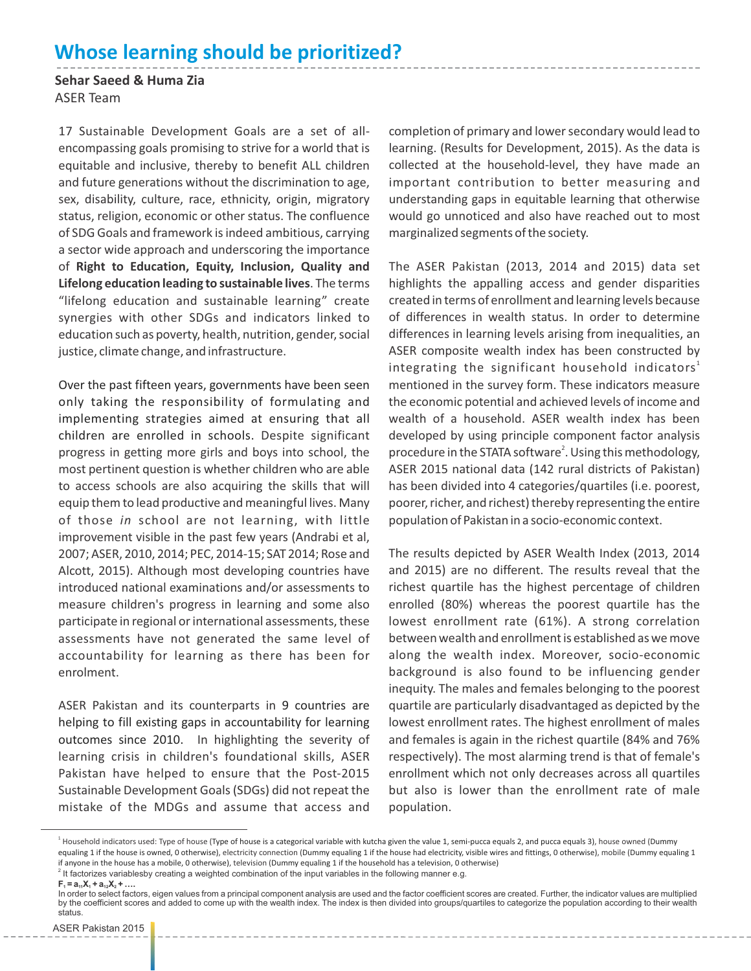## **Whose learning should be prioritized?**

**Sehar Saeed & Huma Zia** ASER Team

17 Sustainable Development Goals are a set of allencompassing goals promising to strive for a world that is equitable and inclusive, thereby to benefit ALL children and future generations without the discrimination to age, sex, disability, culture, race, ethnicity, origin, migratory status, religion, economic or other status. The confluence of SDG Goals and framework is indeed ambitious, carrying a sector wide approach and underscoring the importance of **Right to Education, Equity, Inclusion, Quality and Lifelong education leading to sustainable lives**. The terms "lifelong education and sustainable learning" create synergies with other SDGs and indicators linked to education such as poverty, health, nutrition, gender, social justice, climate change, and infrastructure.

Over the past fifteen years, governments have been seen only taking the responsibility of formulating and implementing strategies aimed at ensuring that all children are enrolled in schools. Despite significant progress in getting more girls and boys into school, the most pertinent question is whether children who are able to access schools are also acquiring the skills that will equip them to lead productive and meaningful lives. Many of those *in* school are not learning, with little improvement visible in the past few years (Andrabi et al, 2007; ASER, 2010, 2014; PEC, 2014-15; SAT 2014; Rose and Alcott, 2015). Although most developing countries have introduced national examinations and/or assessments to measure children's progress in learning and some also participate in regional or international assessments, these assessments have not generated the same level of accountability for learning as there has been for enrolment.

ASER Pakistan and its counterparts in 9 countries are helping to fill existing gaps in accountability for learning outcomes since 2010. In highlighting the severity of learning crisis in children's foundational skills, ASER Pakistan have helped to ensure that the Post-2015 Sustainable Development Goals (SDGs) did not repeat the mistake of the MDGs and assume that access and

completion of primary and lower secondary would lead to learning. (Results for Development, 2015). As the data is collected at the household-level, they have made an important contribution to better measuring and understanding gaps in equitable learning that otherwise would go unnoticed and also have reached out to most marginalized segments of the society.

The ASER Pakistan (2013, 2014 and 2015) data set highlights the appalling access and gender disparities created in terms of enrollment and learning levels because of differences in wealth status. In order to determine differences in learning levels arising from inequalities, an ASER composite wealth index has been constructed by integrating the significant household indicators $^{\rm 1}$ mentioned in the survey form. These indicators measure the economic potential and achieved levels of income and wealth of a household. ASER wealth index has been developed by using principle component factor analysis procedure in the STATA software<sup>2</sup>. Using this methodology, ASER 2015 national data (142 rural districts of Pakistan) has been divided into 4 categories/quartiles (i.e. poorest, poorer, richer, and richest) thereby representing the entire population of Pakistan in a socio-economic context.

The results depicted by ASER Wealth Index (2013, 2014 and 2015) are no different. The results reveal that the richest quartile has the highest percentage of children enrolled (80%) whereas the poorest quartile has the lowest enrollment rate (61%). A strong correlation between wealth and enrollment is established as we move along the wealth index. Moreover, socio-economic background is also found to be influencing gender inequity. The males and females belonging to the poorest quartile are particularly disadvantaged as depicted by the lowest enrollment rates. The highest enrollment of males and females is again in the richest quartile (84% and 76% respectively). The most alarming trend is that of female's enrollment which not only decreases across all quartiles but also is lower than the enrollment rate of male population.

<sup>&</sup>lt;sup>1</sup> Household indicators used: Type of house (Type of house is a categorical variable with kutcha given the value 1, semi-pucca equals 2, and pucca equals 3), house owned (Dummy equaling 1 if the house is owned, 0 otherwise), electricity connection (Dummy equaling 1 if the house had electricity, visible wires and fittings, 0 otherwise), mobile (Dummy equaling 1 if anyone in the house has a mobile, 0 otherwise), television (Dummy equaling 1 if the household has a television, 0 otherwise)

 $2$  It factorizes variablesby creating a weighted combination of the input variables in the following manner e.g.

 $F_1 = a_1, X_2 + a_3, X_3 + \ldots$ 

In order to select factors, eigen values from a principal component analysis are used and the factor coefficient scores are created. Further, the indicator values are multiplied by the coefficient scores and added to come up with the wealth index. The index is then divided into groups/quartiles to categorize the population according to their wealth status.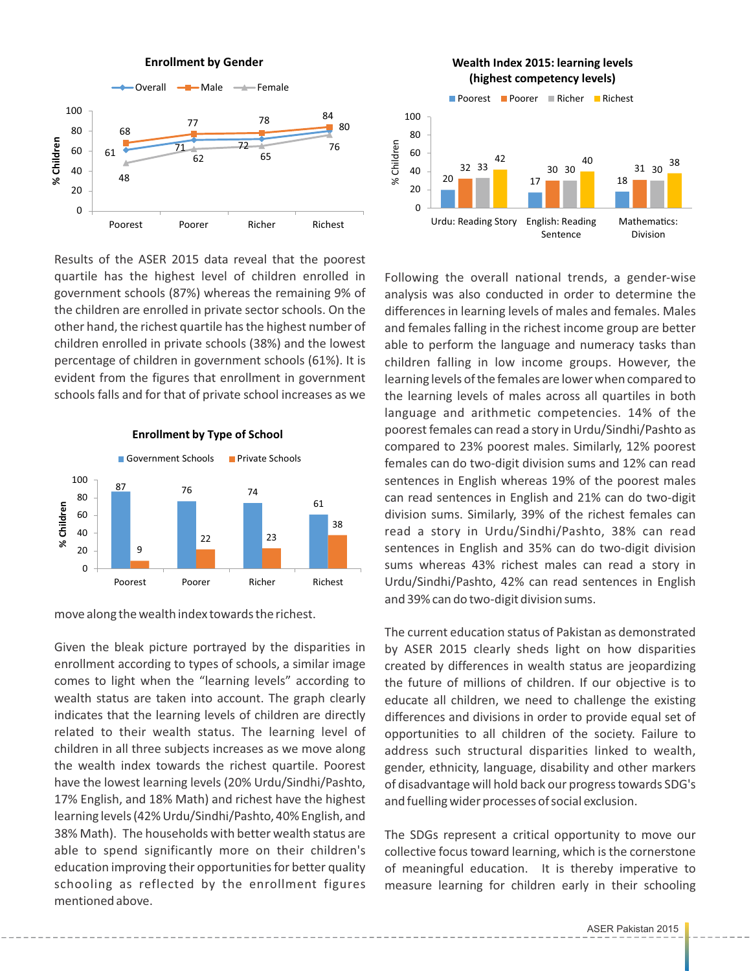

Results of the ASER 2015 data reveal that the poorest quartile has the highest level of children enrolled in government schools (87%) whereas the remaining 9% of the children are enrolled in private sector schools. On the other hand, the richest quartile has the highest number of children enrolled in private schools (38%) and the lowest percentage of children in government schools (61%). It is evident from the figures that enrollment in government schools falls and for that of private school increases as we



## **Enrollment by Type of School**

move along the wealth index towards the richest.

Given the bleak picture portrayed by the disparities in enrollment according to types of schools, a similar image comes to light when the "learning levels" according to wealth status are taken into account. The graph clearly indicates that the learning levels of children are directly related to their wealth status. The learning level of children in all three subjects increases as we move along the wealth index towards the richest quartile. Poorest have the lowest learning levels (20% Urdu/Sindhi/Pashto, 17% English, and 18% Math) and richest have the highest learning levels (42% Urdu/Sindhi/Pashto, 40% English, and 38% Math). The households with better wealth status are able to spend significantly more on their children's education improving their opportunities for better quality schooling as reflected by the enrollment figures mentioned above.



Following the overall national trends, a gender-wise analysis was also conducted in order to determine the differences in learning levels of males and females. Males and females falling in the richest income group are better able to perform the language and numeracy tasks than children falling in low income groups. However, the learning levels of the females are lower when compared to the learning levels of males across all quartiles in both language and arithmetic competencies. 14% of the poorest females can read a story in Urdu/Sindhi/Pashto as compared to 23% poorest males. Similarly, 12% poorest females can do two-digit division sums and 12% can read sentences in English whereas 19% of the poorest males can read sentences in English and 21% can do two-digit division sums. Similarly, 39% of the richest females can read a story in Urdu/Sindhi/Pashto, 38% can read sentences in English and 35% can do two-digit division sums whereas 43% richest males can read a story in Urdu/Sindhi/Pashto, 42% can read sentences in English and 39% can do two-digit division sums.

The current education status of Pakistan as demonstrated by ASER 2015 clearly sheds light on how disparities created by differences in wealth status are jeopardizing the future of millions of children. If our objective is to educate all children, we need to challenge the existing differences and divisions in order to provide equal set of opportunities to all children of the society. Failure to address such structural disparities linked to wealth, gender, ethnicity, language, disability and other markers of disadvantage will hold back our progress towards SDG's and fuelling wider processes of social exclusion.

The SDGs represent a critical opportunity to move our collective focus toward learning, which is the cornerstone of meaningful education. It is thereby imperative to measure learning for children early in their schooling